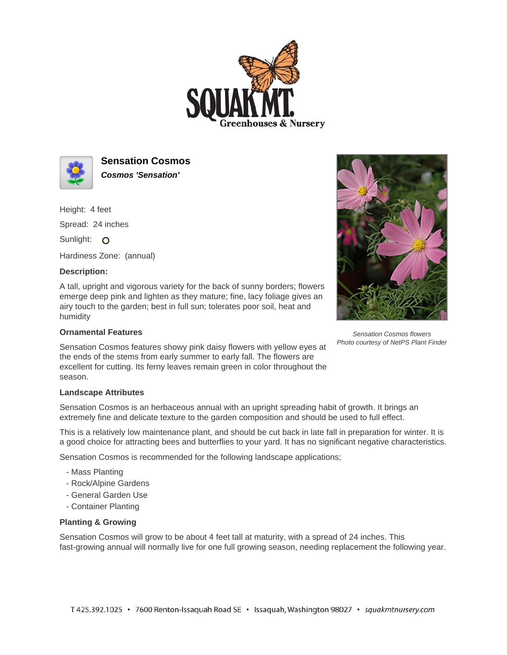



**Sensation Cosmos Cosmos 'Sensation'**

Height: 4 feet Spread: 24 inches Sunlight: O

Hardiness Zone: (annual)

## **Description:**

A tall, upright and vigorous variety for the back of sunny borders; flowers emerge deep pink and lighten as they mature; fine, lacy foliage gives an airy touch to the garden; best in full sun; tolerates poor soil, heat and humidity

## **Ornamental Features**

Sensation Cosmos features showy pink daisy flowers with yellow eyes at the ends of the stems from early summer to early fall. The flowers are excellent for cutting. Its ferny leaves remain green in color throughout the season.

## **Landscape Attributes**

Sensation Cosmos is an herbaceous annual with an upright spreading habit of growth. It brings an extremely fine and delicate texture to the garden composition and should be used to full effect.

This is a relatively low maintenance plant, and should be cut back in late fall in preparation for winter. It is a good choice for attracting bees and butterflies to your yard. It has no significant negative characteristics.

Sensation Cosmos is recommended for the following landscape applications;

- Mass Planting
- Rock/Alpine Gardens
- General Garden Use
- Container Planting

## **Planting & Growing**

Sensation Cosmos will grow to be about 4 feet tall at maturity, with a spread of 24 inches. This fast-growing annual will normally live for one full growing season, needing replacement the following year.



Sensation Cosmos flowers Photo courtesy of NetPS Plant Finder